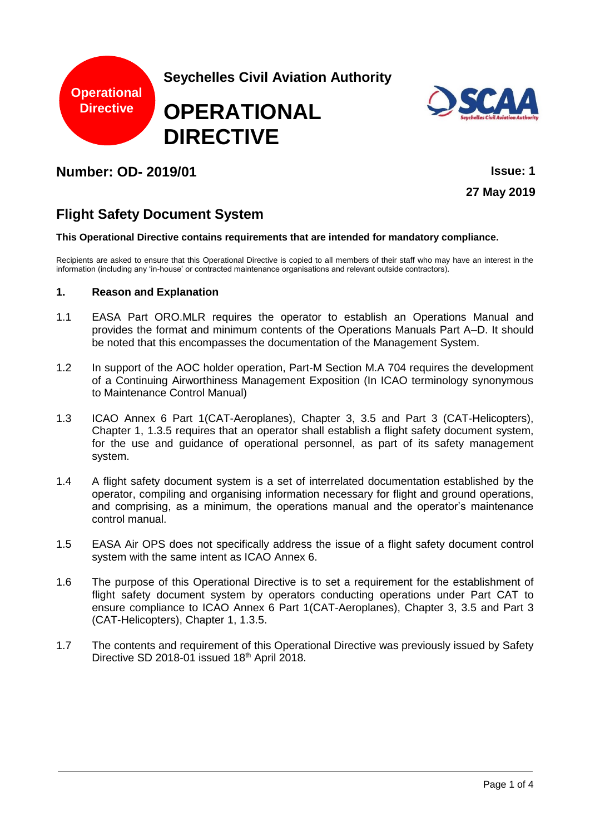



# **Number: OD- 2019/01 Issue: 1**

**27 May 2019**

# **Flight Safety Document System**

#### **This Operational Directive contains requirements that are intended for mandatory compliance.**

Recipients are asked to ensure that this Operational Directive is copied to all members of their staff who may have an interest in the information (including any 'in-house' or contracted maintenance organisations and relevant outside contractors).

### **1. Reason and Explanation**

- 1.1 EASA Part ORO.MLR requires the operator to establish an Operations Manual and provides the format and minimum contents of the Operations Manuals Part A–D. It should be noted that this encompasses the documentation of the Management System.
- 1.2 In support of the AOC holder operation, Part-M Section M.A 704 requires the development of a Continuing Airworthiness Management Exposition (In ICAO terminology synonymous to Maintenance Control Manual)
- 1.3 ICAO Annex 6 Part 1(CAT-Aeroplanes), Chapter 3, 3.5 and Part 3 (CAT-Helicopters), Chapter 1, 1.3.5 requires that an operator shall establish a flight safety document system, for the use and guidance of operational personnel, as part of its safety management system.
- 1.4 A flight safety document system is a set of interrelated documentation established by the operator, compiling and organising information necessary for flight and ground operations, and comprising, as a minimum, the operations manual and the operator's maintenance control manual.
- 1.5 EASA Air OPS does not specifically address the issue of a flight safety document control system with the same intent as ICAO Annex 6.
- 1.6 The purpose of this Operational Directive is to set a requirement for the establishment of flight safety document system by operators conducting operations under Part CAT to ensure compliance to ICAO Annex 6 Part 1(CAT-Aeroplanes), Chapter 3, 3.5 and Part 3 (CAT-Helicopters), Chapter 1, 1.3.5.
- 1.7 The contents and requirement of this Operational Directive was previously issued by Safety Directive SD 2018-01 issued 18th April 2018.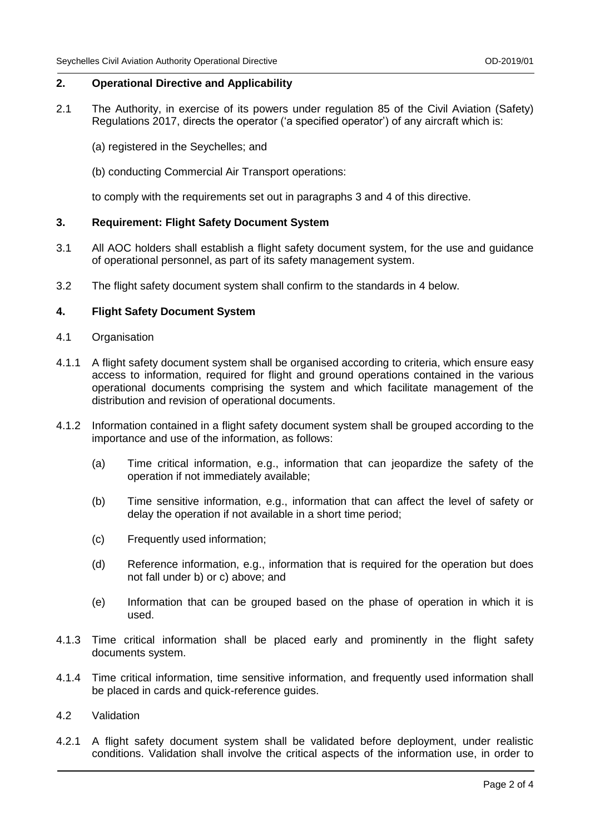## **2. Operational Directive and Applicability**

- 2.1 The Authority, in exercise of its powers under regulation 85 of the Civil Aviation (Safety) Regulations 2017, directs the operator ('a specified operator') of any aircraft which is:
	- (a) registered in the Seychelles; and
	- (b) conducting Commercial Air Transport operations:

to comply with the requirements set out in paragraphs 3 and 4 of this directive.

## **3. Requirement: Flight Safety Document System**

- 3.1 All AOC holders shall establish a flight safety document system, for the use and guidance of operational personnel, as part of its safety management system.
- 3.2 The flight safety document system shall confirm to the standards in 4 below.

## **4. Flight Safety Document System**

- 4.1 Organisation
- 4.1.1 A flight safety document system shall be organised according to criteria, which ensure easy access to information, required for flight and ground operations contained in the various operational documents comprising the system and which facilitate management of the distribution and revision of operational documents.
- 4.1.2 Information contained in a flight safety document system shall be grouped according to the importance and use of the information, as follows:
	- (a) Time critical information, e.g., information that can jeopardize the safety of the operation if not immediately available;
	- (b) Time sensitive information, e.g., information that can affect the level of safety or delay the operation if not available in a short time period;
	- (c) Frequently used information;
	- (d) Reference information, e.g., information that is required for the operation but does not fall under b) or c) above; and
	- (e) Information that can be grouped based on the phase of operation in which it is used.
- 4.1.3 Time critical information shall be placed early and prominently in the flight safety documents system.
- 4.1.4 Time critical information, time sensitive information, and frequently used information shall be placed in cards and quick-reference guides.
- 4.2 Validation
- 4.2.1 A flight safety document system shall be validated before deployment, under realistic conditions. Validation shall involve the critical aspects of the information use, in order to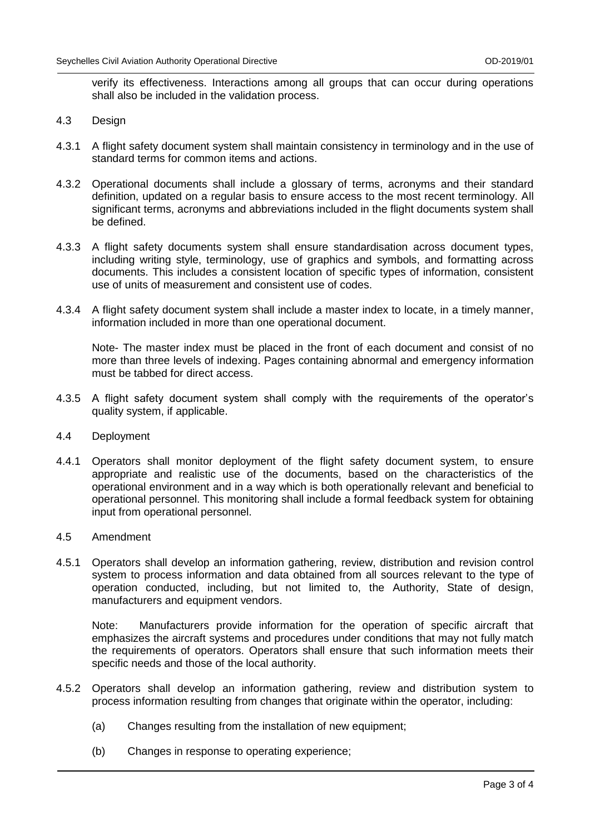verify its effectiveness. Interactions among all groups that can occur during operations shall also be included in the validation process.

- 4.3 Design
- 4.3.1 A flight safety document system shall maintain consistency in terminology and in the use of standard terms for common items and actions.
- 4.3.2 Operational documents shall include a glossary of terms, acronyms and their standard definition, updated on a regular basis to ensure access to the most recent terminology. All significant terms, acronyms and abbreviations included in the flight documents system shall be defined.
- 4.3.3 A flight safety documents system shall ensure standardisation across document types, including writing style, terminology, use of graphics and symbols, and formatting across documents. This includes a consistent location of specific types of information, consistent use of units of measurement and consistent use of codes.
- 4.3.4 A flight safety document system shall include a master index to locate, in a timely manner, information included in more than one operational document.

Note- The master index must be placed in the front of each document and consist of no more than three levels of indexing. Pages containing abnormal and emergency information must be tabbed for direct access.

- 4.3.5 A flight safety document system shall comply with the requirements of the operator's quality system, if applicable.
- 4.4 Deployment
- 4.4.1 Operators shall monitor deployment of the flight safety document system, to ensure appropriate and realistic use of the documents, based on the characteristics of the operational environment and in a way which is both operationally relevant and beneficial to operational personnel. This monitoring shall include a formal feedback system for obtaining input from operational personnel.
- 4.5 Amendment
- 4.5.1 Operators shall develop an information gathering, review, distribution and revision control system to process information and data obtained from all sources relevant to the type of operation conducted, including, but not limited to, the Authority, State of design, manufacturers and equipment vendors.

Note: Manufacturers provide information for the operation of specific aircraft that emphasizes the aircraft systems and procedures under conditions that may not fully match the requirements of operators. Operators shall ensure that such information meets their specific needs and those of the local authority.

- 4.5.2 Operators shall develop an information gathering, review and distribution system to process information resulting from changes that originate within the operator, including:
	- (a) Changes resulting from the installation of new equipment;
	- (b) Changes in response to operating experience;